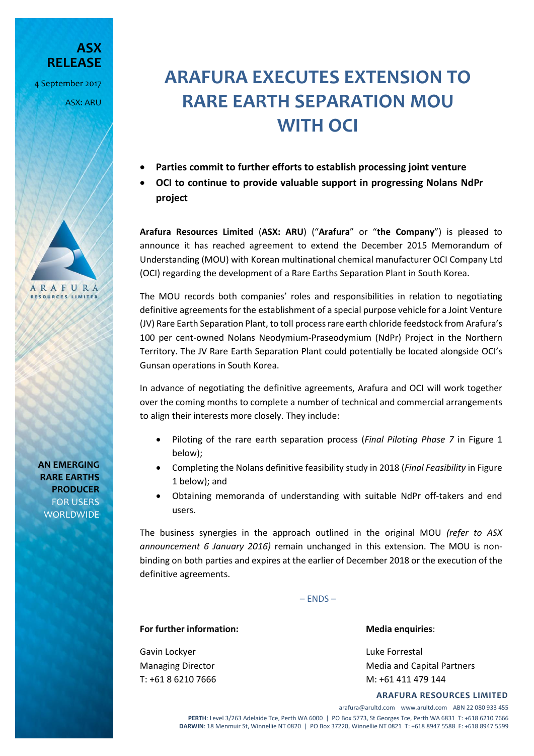**ASX RELEASE** 4 September 2017

ASX: ARU

## **ARAFURA EXECUTES EXTENSION TO RARE EARTH SEPARATION MOU WITH OCI**

- **Parties commit to further efforts to establish processing joint venture**
- **OCI to continue to provide valuable support in progressing Nolans NdPr project**

**Arafura Resources Limited** (**ASX: ARU**) ("**Arafura**" or "**the Company**") is pleased to announce it has reached agreement to extend the December 2015 Memorandum of Understanding (MOU) with Korean multinational chemical manufacturer OCI Company Ltd (OCI) regarding the development of a Rare Earths Separation Plant in South Korea.

The MOU records both companies' roles and responsibilities in relation to negotiating definitive agreements for the establishment of a special purpose vehicle for a Joint Venture (JV) Rare Earth Separation Plant, to toll process rare earth chloride feedstock from Arafura's 100 per cent-owned Nolans Neodymium-Praseodymium (NdPr) Project in the Northern Territory. The JV Rare Earth Separation Plant could potentially be located alongside OCI's Gunsan operations in South Korea.

In advance of negotiating the definitive agreements, Arafura and OCI will work together over the coming months to complete a number of technical and commercial arrangements to align their interests more closely. They include:

- Piloting of the rare earth separation process (*Final Piloting Phase 7* in Figure 1 below);
- Completing the Nolans definitive feasibility study in 2018 (*Final Feasibility* in Figure 1 below); and
- Obtaining memoranda of understanding with suitable NdPr off-takers and end users.

The business synergies in the approach outlined in the original MOU *(refer to ASX announcement 6 January 2016)* remain unchanged in this extension. The MOU is nonbinding on both parties and expires at the earlier of December 2018 or the execution of the definitive agreements.

– ENDS –

## **For further information: Media enquiries**:

Gavin Lockyer **Luke Forrestal** 

Managing Director **Media and Capital Partners** Media and Capital Partners T: +61 8 6210 7666 M: +61 411 479 144

## **ARAFURA RESOURCES LIMITED**

arafura@arultd.com www.arultd.com ABN 22 080 933 455 **PERTH**: Level 3/263 Adelaide Tce, Perth WA 6000 | PO Box 5773, St Georges Tce, Perth WA 6831 T: +618 6210 7666 **DARWIN**: 18 Menmuir St, Winnellie NT 0820 | PO Box 37220, Winnellie NT 0821 T: +618 8947 5588 F: +618 8947 5599

**AN EMERGING RARE EARTHS PRODUCER** FOR USERS **WORLDWIDE** 

ARAFURA **RESOURCES LIMITED**